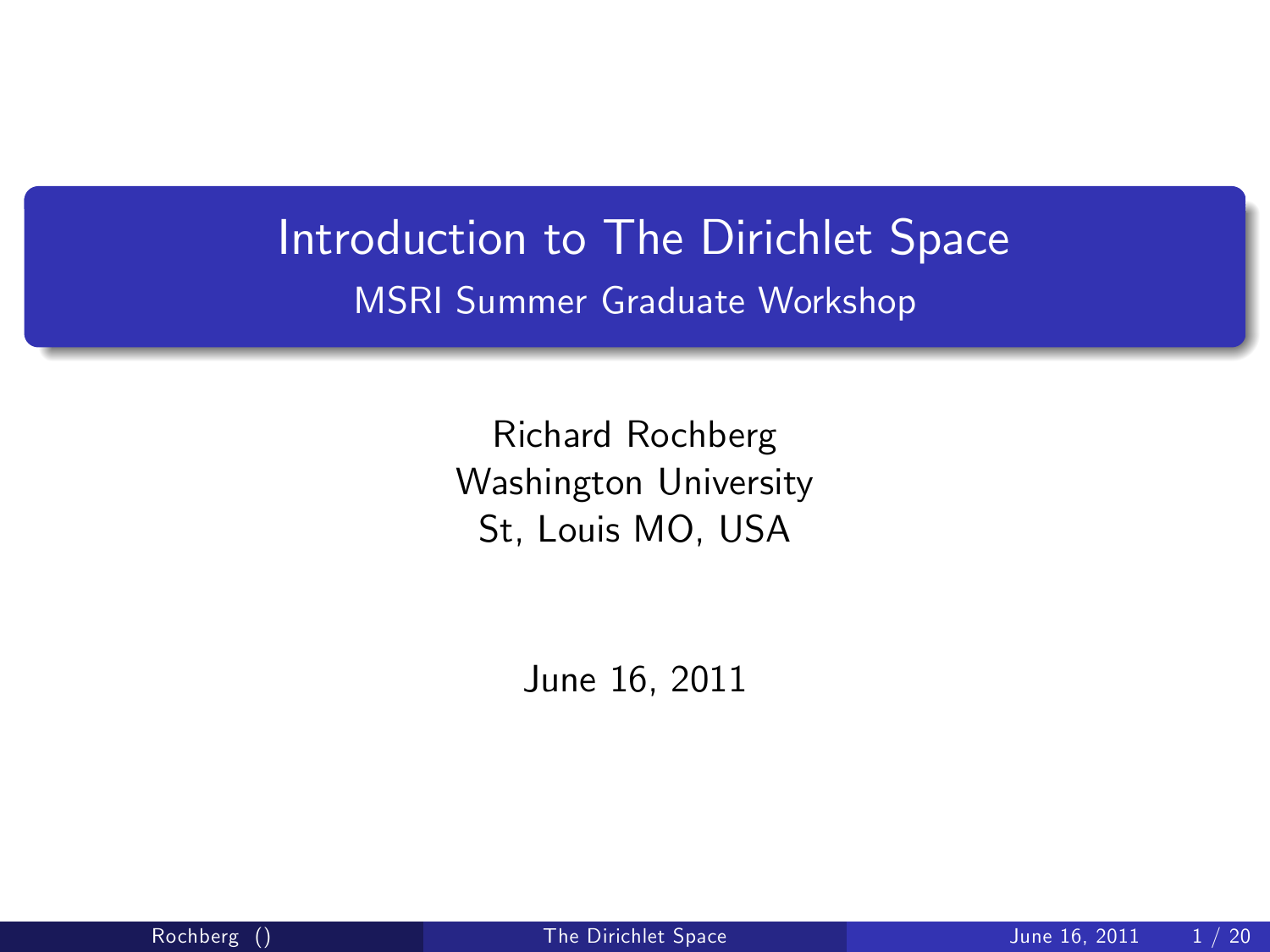## Introduction to The Dirichlet Space MSRI Summer Graduate Workshop

Richard Rochberg Washington University St, Louis MO, USA

<span id="page-0-0"></span>June 16, 2011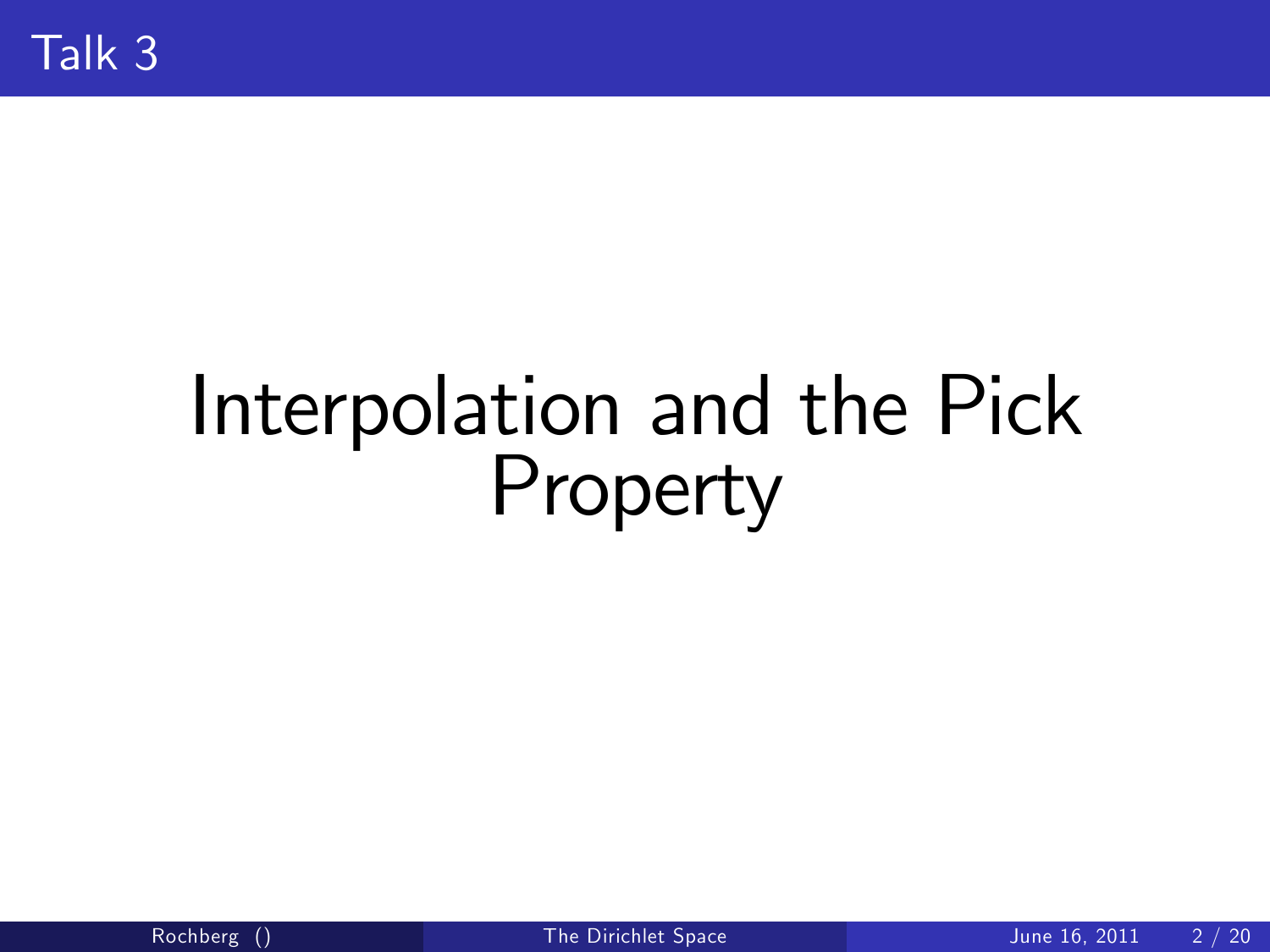# Interpolation and the Pick Property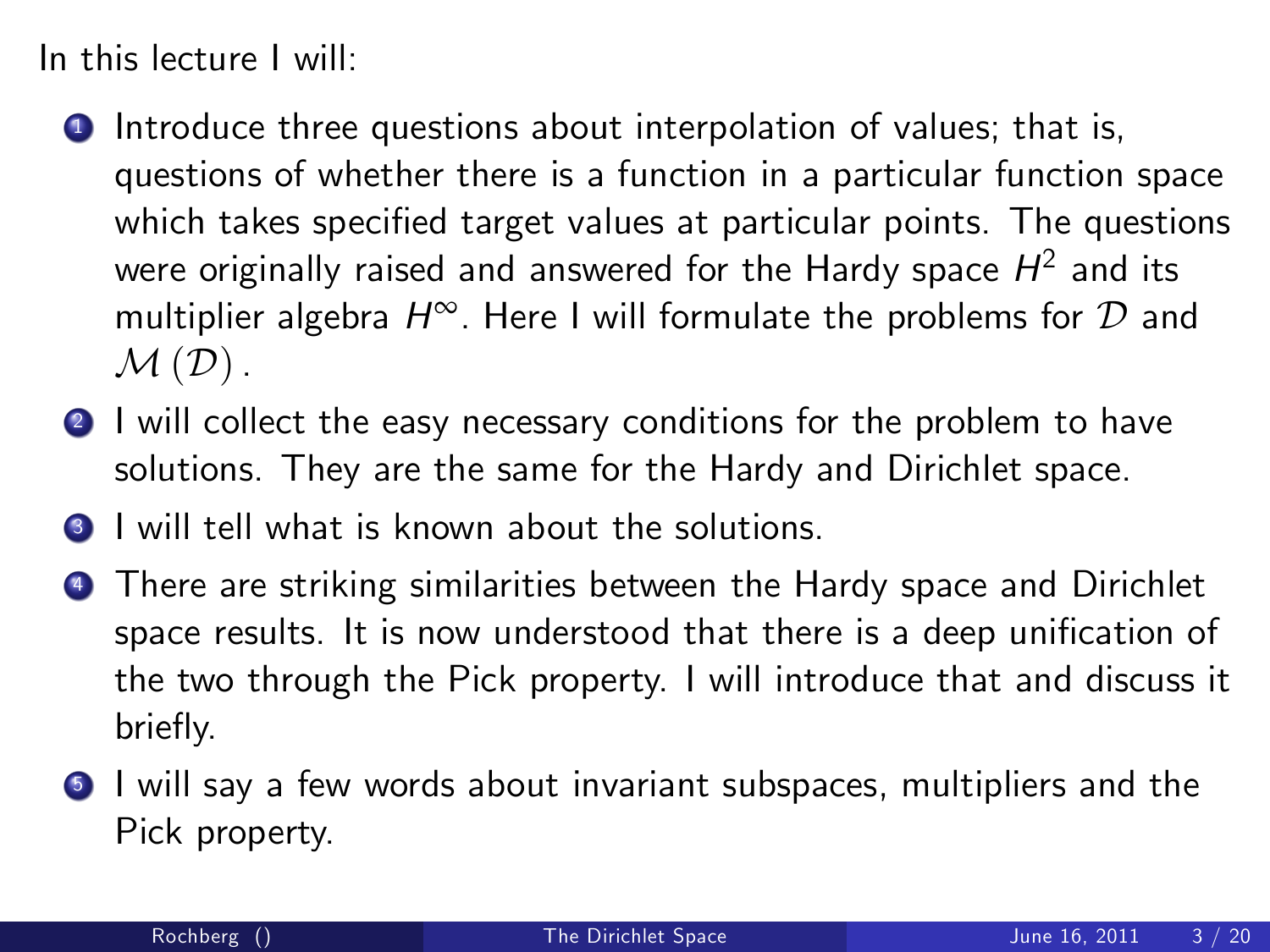In this lecture I will:

- **1** Introduce three questions about interpolation of values; that is, questions of whether there is a function in a particular function space which takes specified target values at particular points. The questions were originally raised and answered for the Hardy space  $H^2$  and its multiplier algebra  $H^{\infty}$ . Here I will formulate the problems for  ${\cal D}$  and  $M(D)$ .
- **2** I will collect the easy necessary conditions for the problem to have solutions. They are the same for the Hardy and Dirichlet space.
- **3** I will tell what is known about the solutions.
- **4** There are striking similarities between the Hardy space and Dirichlet space results. It is now understood that there is a deep unification of the two through the Pick property. I will introduce that and discuss it briefly.
- <sup>5</sup> I will say a few words about invariant subspaces, multipliers and the Pick property.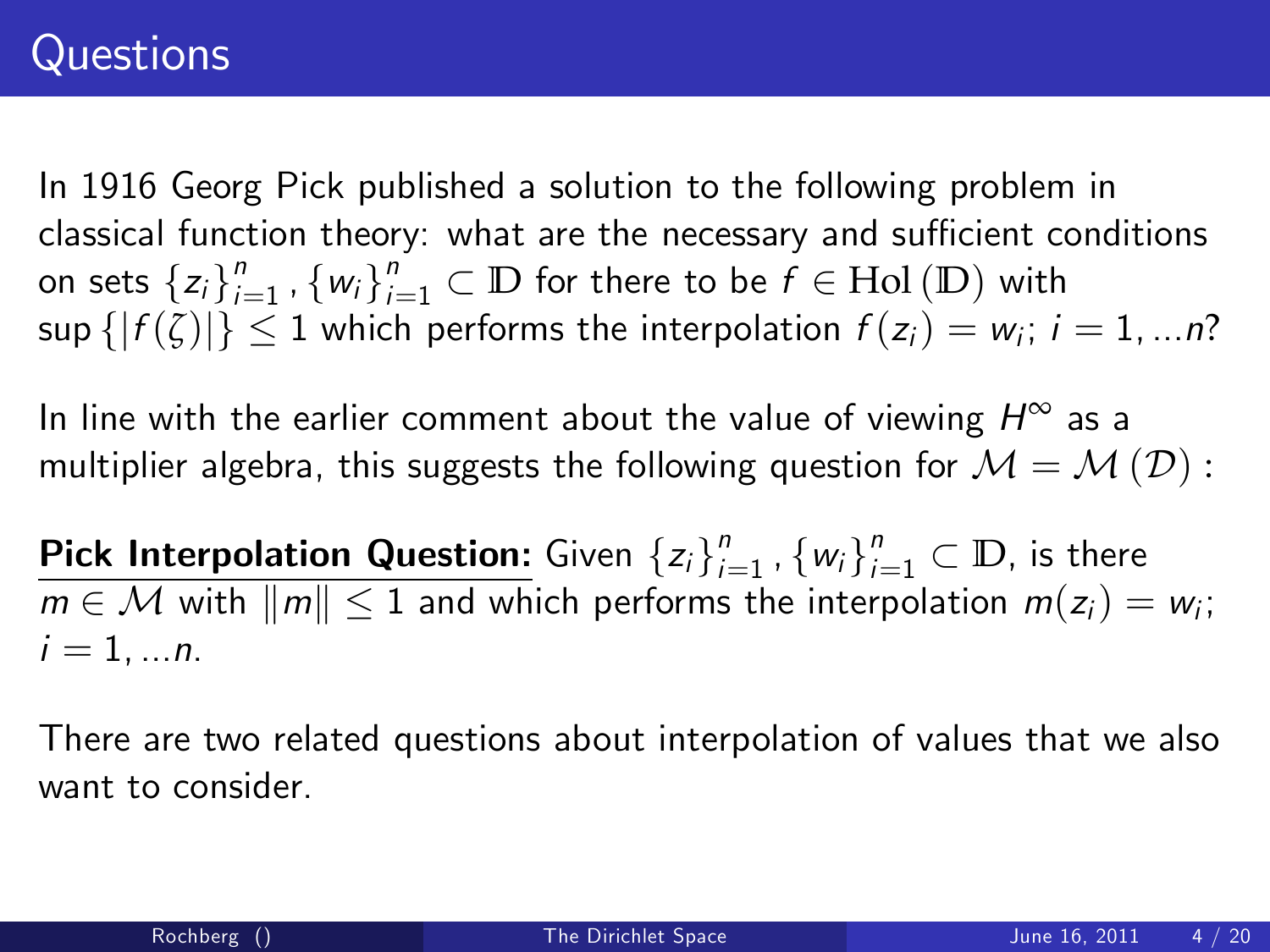In 1916 Georg Pick published a solution to the following problem in classical function theory: what are the necessary and sufficient conditions on sets  $\{z_i\}_{i=1}^n$  $\sum_{i=1}^{n}$  ,  $\{w_i\}_{i=1}^{n} \subset \mathbb{D}$  for there to be  $f \in \text{Hol}(\mathbb{D})$  with  $\sup\{|f(\zeta)|\}\leq 1$  which performs the interpolation  $f(z_i)=w_i;$   $i=1,...n?$ 

In line with the earlier comment about the value of viewing  $H^\infty$  as a multiplier algebra, this suggests the following question for  $\mathcal{M}=\mathcal{M}\left(\mathcal{D}\right)$ :

Pick Interpolation Question: Given  $\{z_i\}_{i=1}^n$  $\binom{n}{i=1}$  ,  $\{w_i\}_{i=1}^n \subset \mathbb{D}$ , is there  $m \in \mathcal{M}$  with  $\|m\| \leq 1$  and which performs the interpolation  $m(z_i) = w_i;$  $i = 1, ..., n$ .

There are two related questions about interpolation of values that we also want to consider.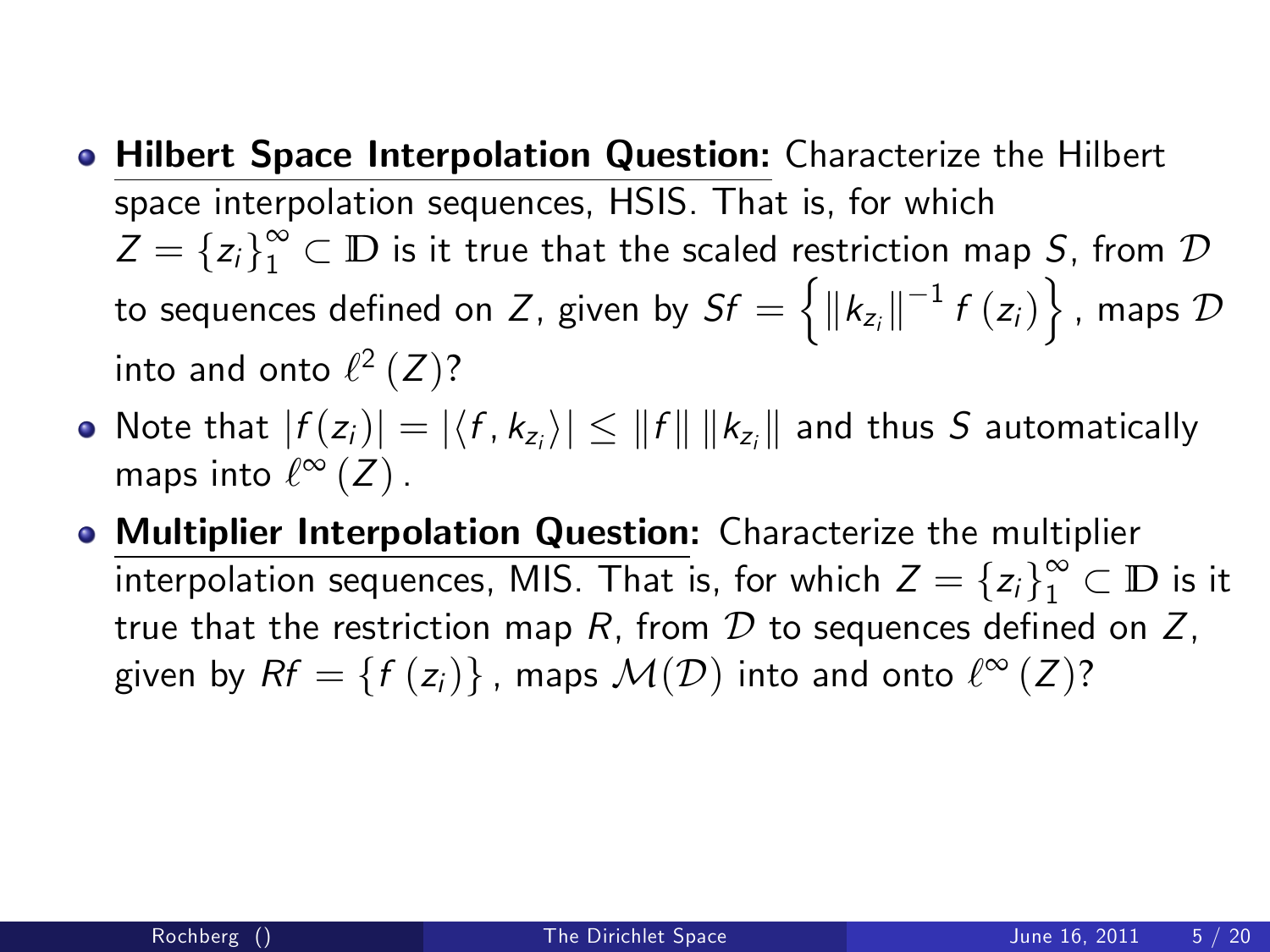- Hilbert Space Interpolation Question: Characterize the Hilbert space interpolation sequences, HSIS. That is, for which  $Z = \{z_i\}_1^\infty \subset \mathbb{D}$  is it true that the scaled restriction map S, from  $\mathcal D$ to sequences defined on Z, given by  $Sf = \left\{ \left\Vert k_{z_{i}}\right\Vert ^{-1}f\left( z_{i}\right) \right\}$  , maps  $\mathcal{D}% _{z_{i}}$ into and onto  $\ell^2\left(Z\right)$ ?
- Note that  $|f(z_j)| = |\langle f, k_{z_j} \rangle| \leq ||f|| \, ||k_{z_i}||$  and thus  $S$  automatically maps into  $\ell^{\infty}(Z)$  .
- Multiplier Interpolation Question: Characterize the multiplier interpolation sequences, MIS. That is, for which  $Z = \{z_i\}_1^{\infty} \subset \mathbb{D}$  is it true that the restriction map  $R$ , from  $D$  to sequences defined on  $Z$ , given by  $Rf = \{f(z_i)\}\,$ , maps  $\mathcal{M}(\mathcal{D})$  into and onto  $\ell^{\infty}(Z)?$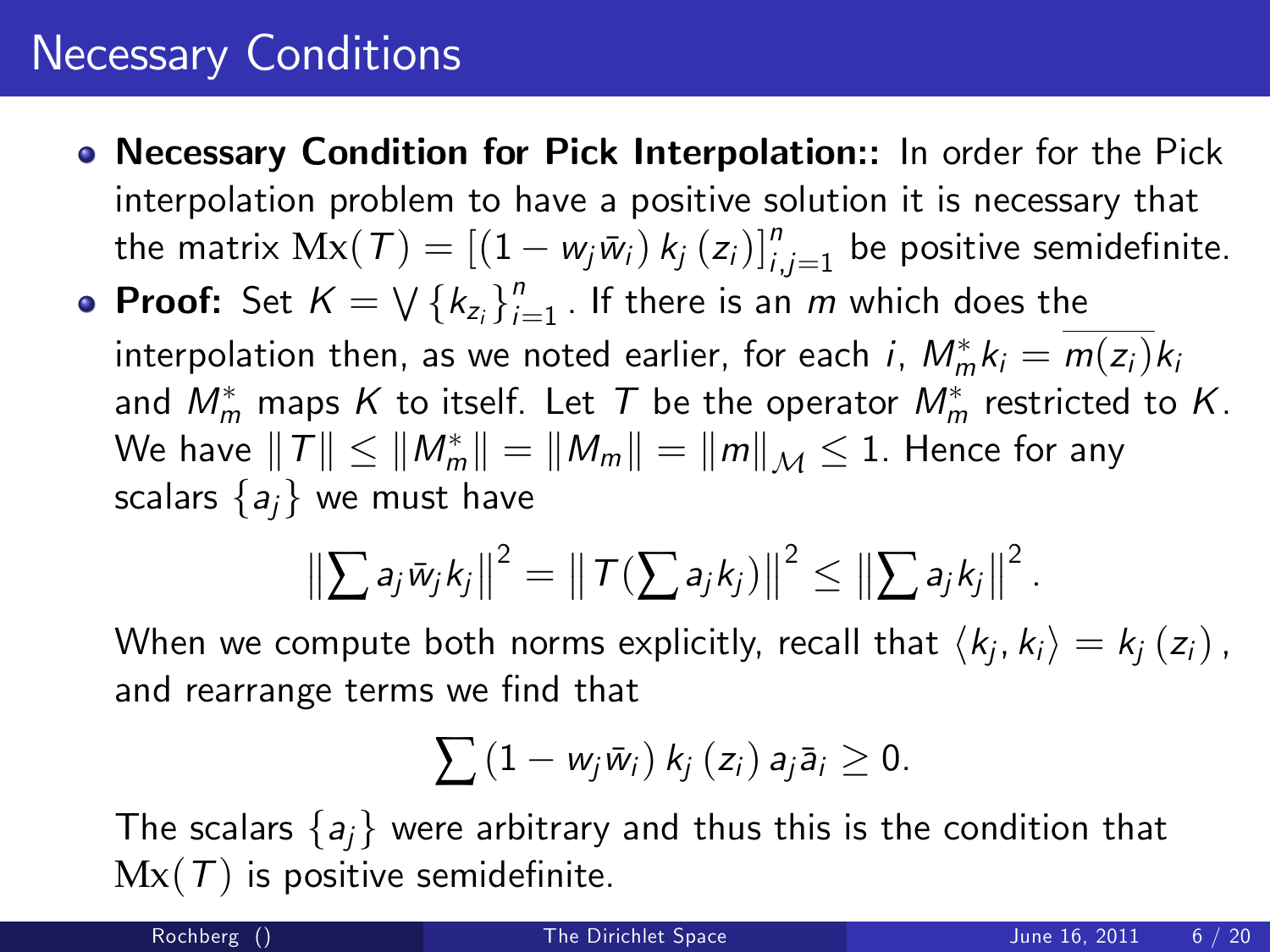#### Necessary Conditions

- Necessary Condition for Pick Interpolation:: In order for the Pick interpolation problem to have a positive solution it is necessary that the matrix  $Mx(\mathcal{T}) = \left[(1 - w_j\bar{w}_i) k_j(z_i)\right]_{i,j=1}^n$  be positive semidefinite.
- **Proof:** Set  $K = \bigvee \{k_{z_i}\}_{i=1}^n$  $\int_{i=1}^{n}$  . If there is an  $m$  which does the interpolation then, as we noted earlier, for each  $i$ ,  $M_m^* k_i = m(z_i) k_i$ and  $M_m^*$  maps  $K$  to itself. Let  $\mathcal T$  be the operator  $M_m^*$  restricted to  $K.$ We have  $\left\Vert \mathcal{T}\right\Vert \leq\left\Vert M_{m}^{*}\right\Vert =\left\Vert M_{m}\right\Vert =\left\Vert m\right\Vert _{\mathcal{M}}\leq1.$  Hence for any scalars  $\{a_i\}$  we must have

$$
\left\|\sum a_j\bar w_jk_j\right\|^2=\left\|\mathcal{T}\left(\sum a_jk_j\right)\right\|^2\leq \left\|\sum a_jk_j\right\|^2.
$$

When we compute both norms explicitly, recall that  $\langle k_j, k_i \rangle = k_j \left( z_i \right)$ , and rearrange terms we find that

$$
\sum (1 - w_j \bar{w}_i) k_j(z_i) a_j \bar{a}_i \geq 0.
$$

The scalars  $\{a_i\}$  were arbitrary and thus this is the condition that  $Mx(T)$  is positive semidefinite.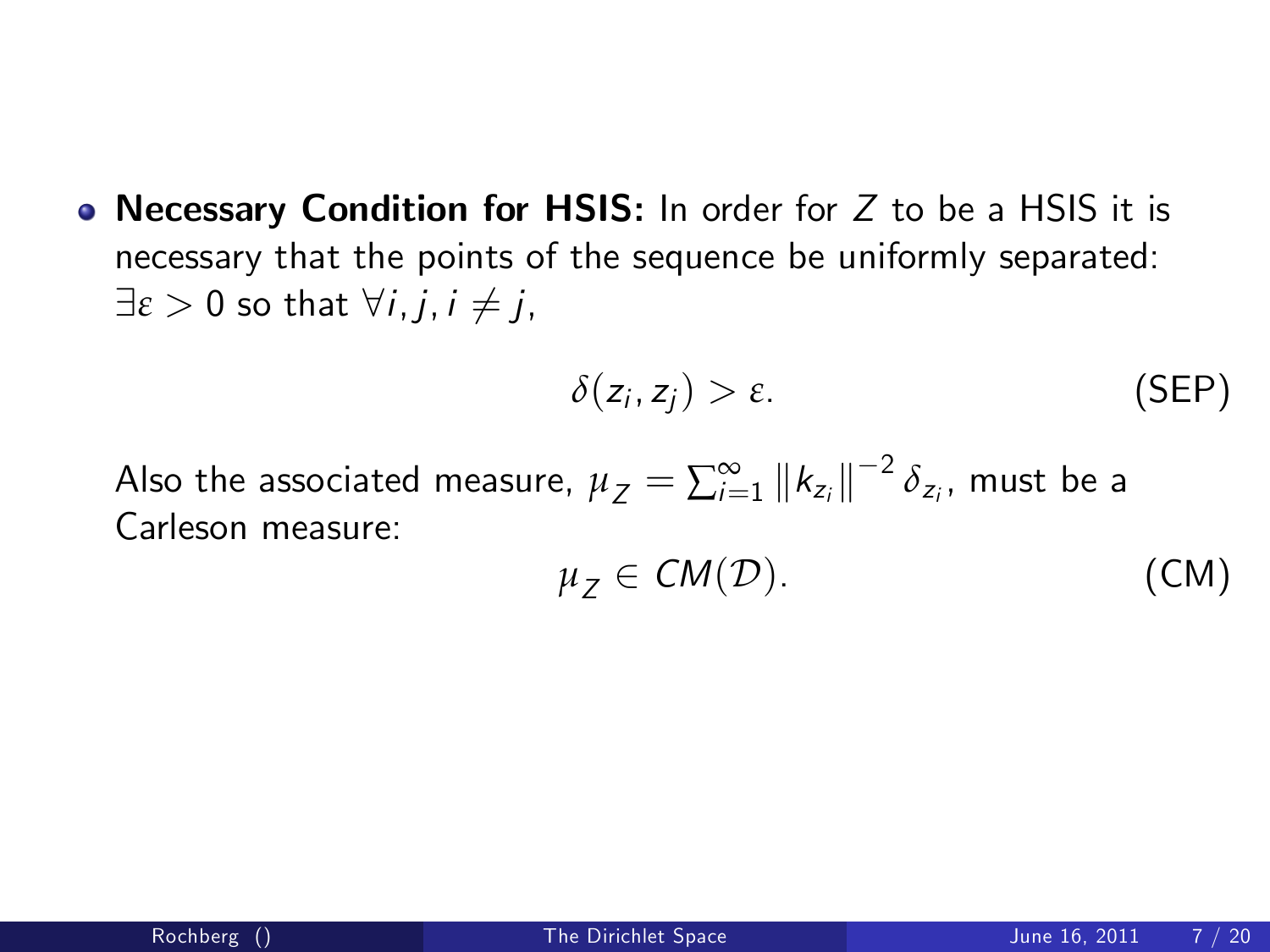• Necessary Condition for HSIS: In order for  $Z$  to be a HSIS it is necessary that the points of the sequence be uniformly separated:  $\exists \varepsilon > 0$  so that  $\forall i, j, i \neq j$ ,

<span id="page-6-1"></span>
$$
\delta(z_i, z_j) > \varepsilon. \tag{SEP}
$$

Also the associated measure,  $\mu_Z = \sum_{i=1}^{\infty} \left \| k_{z_i} \right \|^{-2} \delta_{z_i}$ , must be a Carleson measure:

<span id="page-6-0"></span>
$$
\mu_Z \in CM(\mathcal{D}). \tag{CM}
$$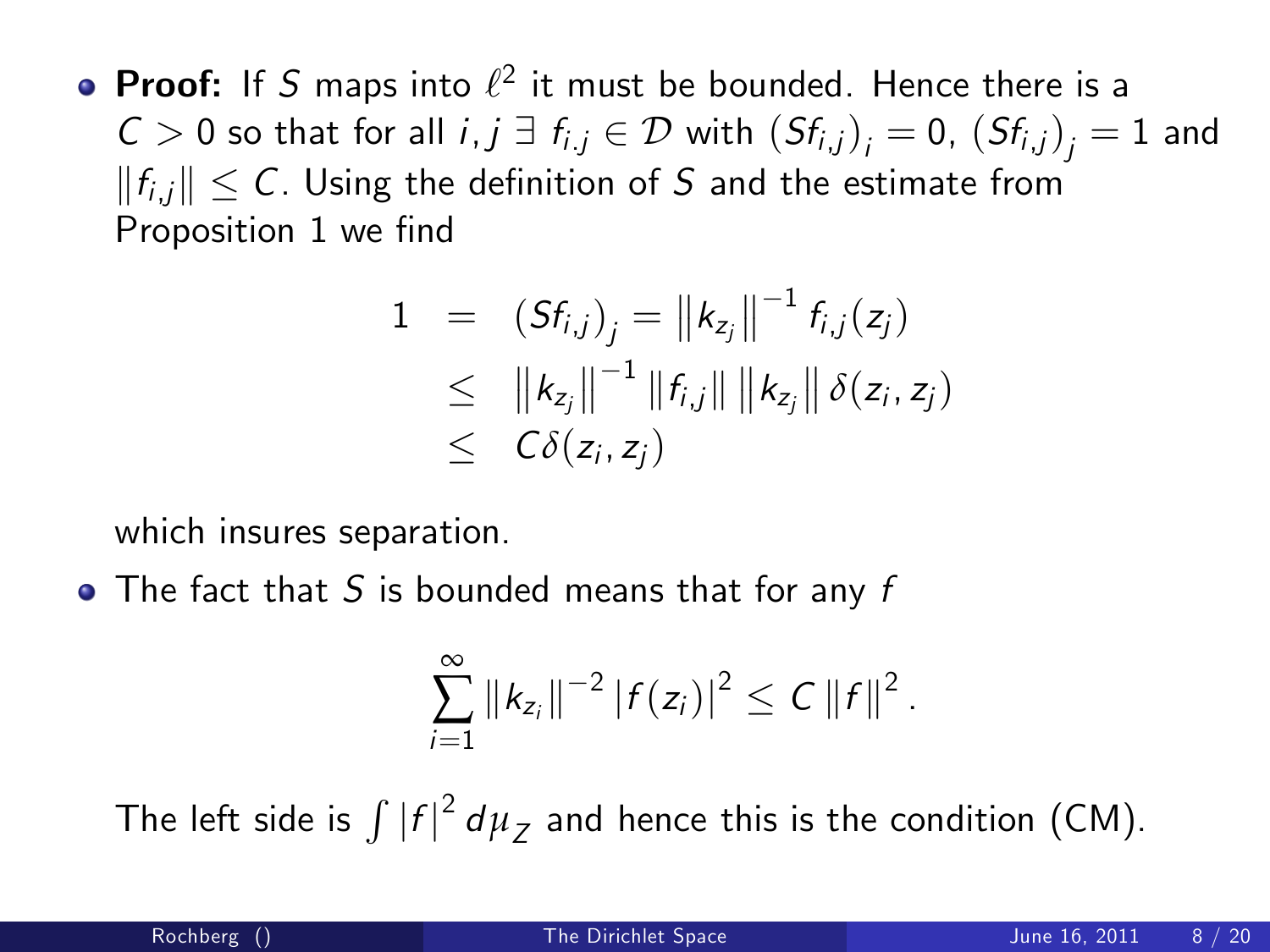**Proof:** If S maps into  $\ell^2$  it must be bounded. Hence there is a  $C>0$  so that for all  $i,j \;\exists\; f_{i,j} \in \mathcal{D}$  with  $(Sf_{i,j})_{j}=0$ ,  $(Sf_{i,j})_{j}=1$  and  $||f_{i,j}|| \leq C$ . Using the definition of S and the estimate from Proposition 1 we find

$$
1 = (Sf_{i,j})_j = ||k_{z_j}||^{-1} f_{i,j}(z_j) \\
\leq ||k_{z_j}||^{-1} ||f_{i,j}|| ||k_{z_j}|| \delta(z_i, z_j) \\
\leq C\delta(z_i, z_j)
$$

which insures separation.

 $\bullet$  The fact that S is bounded means that for any f

$$
\sum_{i=1}^{\infty} \|k_{z_i}\|^{-2} |f(z_i)|^2 \leq C \|f\|^2.
$$

The left side is  $\int |f|^2 d\mu_Z$  and hence this is the condition [\(CM\)](#page-6-0).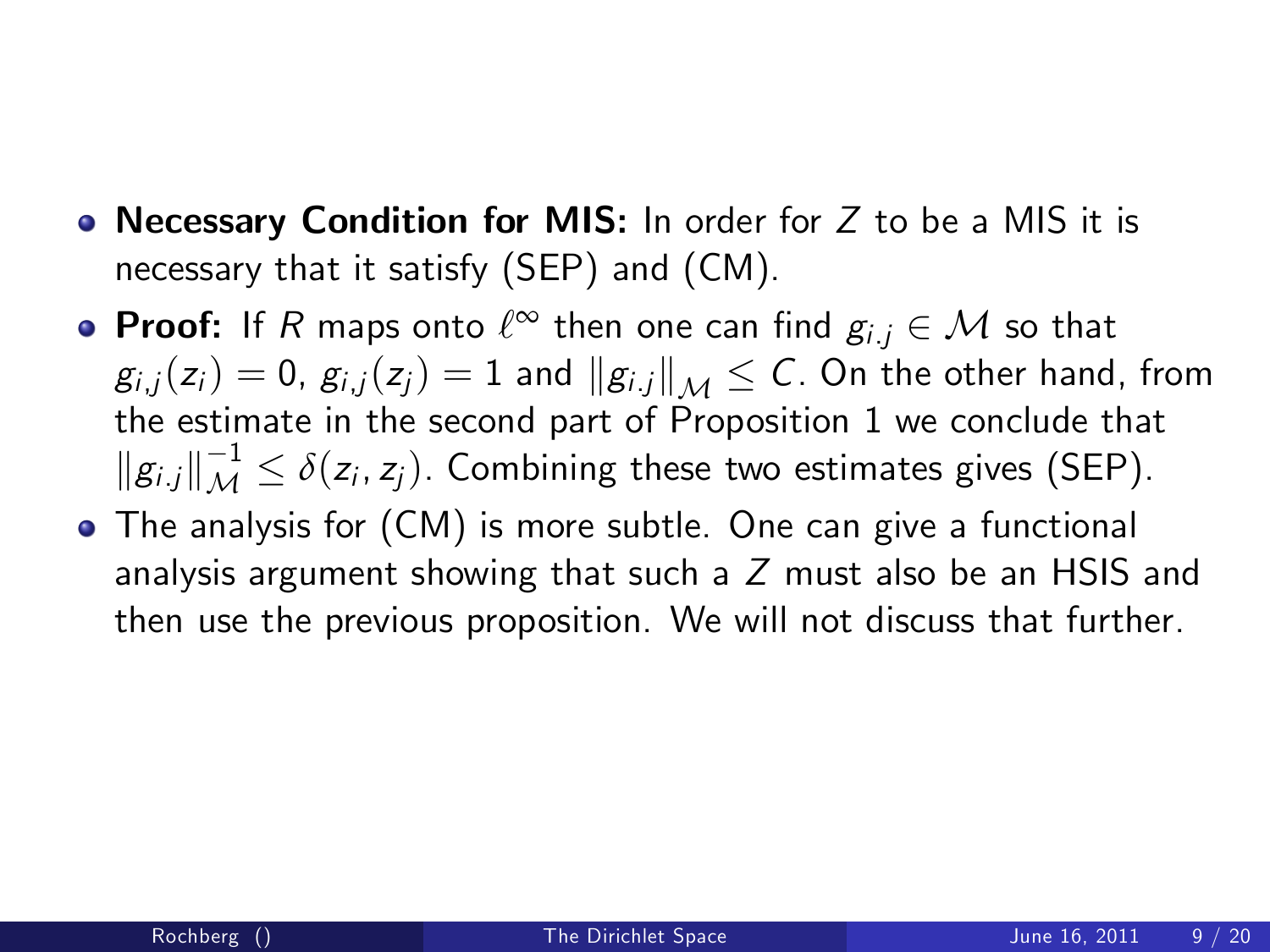- Necessary Condition for MIS: In order for  $Z$  to be a MIS it is necessary that it satisfy [\(SEP\)](#page-6-1) and [\(CM\)](#page-6-0).
- **Proof:** If R maps onto  $\ell^{\infty}$  then one can find  $g_{i,j} \in \mathcal{M}$  so that  $g_{i,j}(z_i) = 0$ ,  $g_{i,j}(z_j) = 1$  and  $||g_{i,j}||_{\mathcal{M}} \leq C$ . On the other hand, from the estimate in the second part of Proposition 1 we conclude that  $||g_{i,j}||_{\mathcal{M}}^{-1} \leq \delta(z_i, z_j)$ . Combining these two estimates gives [\(SEP\)](#page-6-1).
- The analysis for [\(CM\)](#page-6-0) is more subtle. One can give a functional analysis argument showing that such a Z must also be an HSIS and then use the previous proposition. We will not discuss that further.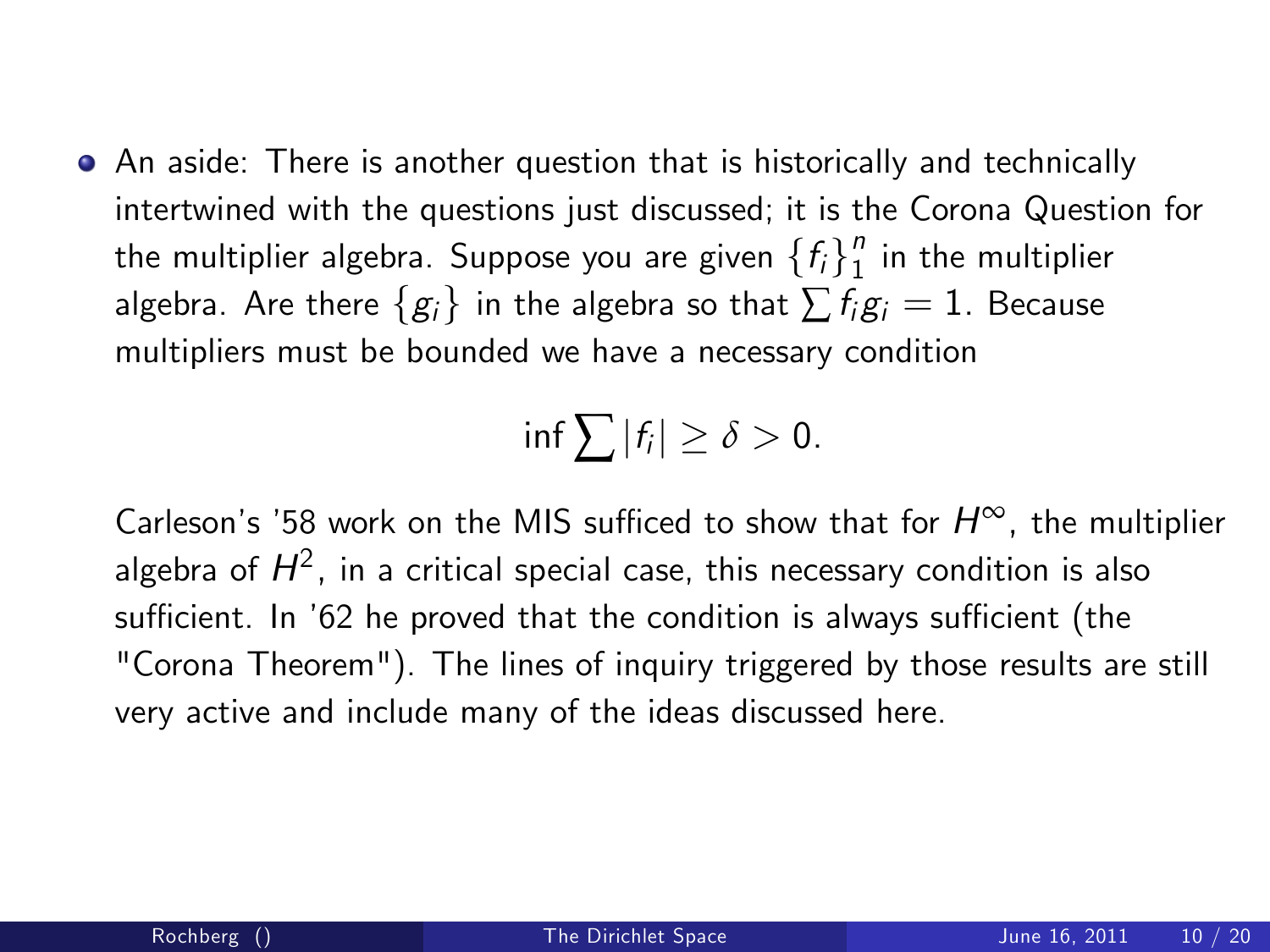An aside: There is another question that is historically and technically intertwined with the questions just discussed; it is the Corona Question for the multiplier algebra. Suppose you are given  $\{f_i\}_1^n$  $\frac{\pi}{1}$  in the multiplier algebra. Are there  $\{g_i\}$  in the algebra so that  $\sum f_i g_i = 1$ . Because multipliers must be bounded we have a necessary condition

$$
\inf \sum |f_i| \geq \delta > 0.
$$

Carleson's '58 work on the MIS sufficed to show that for  $H^{\infty}$ , the multiplier algebra of  $H^2$ , in a critical special case, this necessary condition is also sufficient. In '62 he proved that the condition is always sufficient (the "Corona Theorem"). The lines of inquiry triggered by those results are still very active and include many of the ideas discussed here.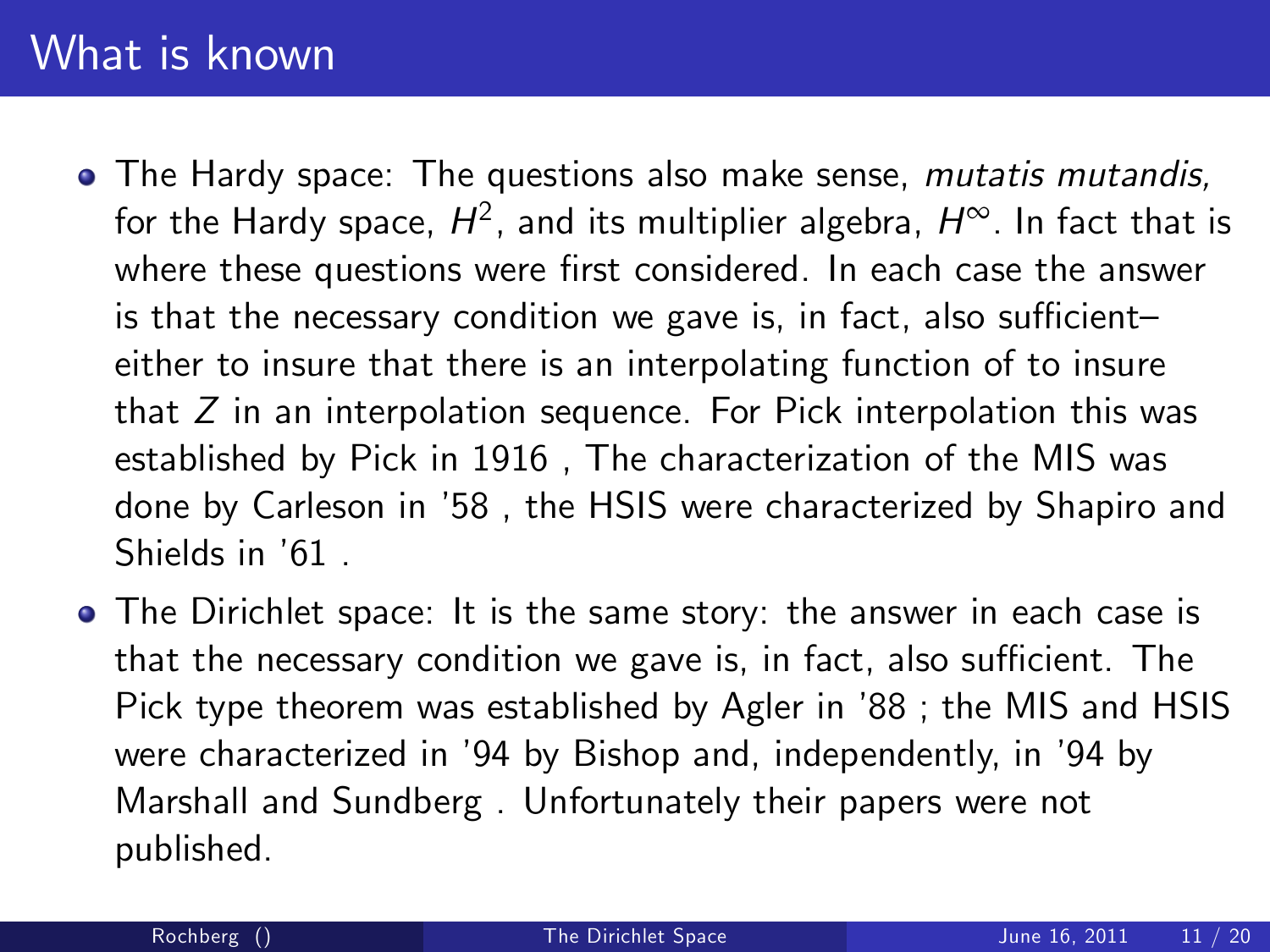### What is known

- The Hardy space: The questions also make sense, *mutatis mutandis*, for the Hardy space,  $H^2$ , and its multiplier algebra,  $H^\infty$ . In fact that is where these questions were first considered. In each case the answer is that the necessary condition we gave is, in fact, also sufficient $$ either to insure that there is an interpolating function of to insure that  $Z$  in an interpolation sequence. For Pick interpolation this was established by Pick in 1916 , The characterization of the MIS was done by Carleson in í58 , the HSIS were characterized by Shapiro and Shields in  $'61$ .
- The Dirichlet space: It is the same story: the answer in each case is that the necessary condition we gave is, in fact, also sufficient. The Pick type theorem was established by Agler in '88; the MIS and HSIS were characterized in '94 by Bishop and, independently, in '94 by Marshall and Sundberg . Unfortunately their papers were not published.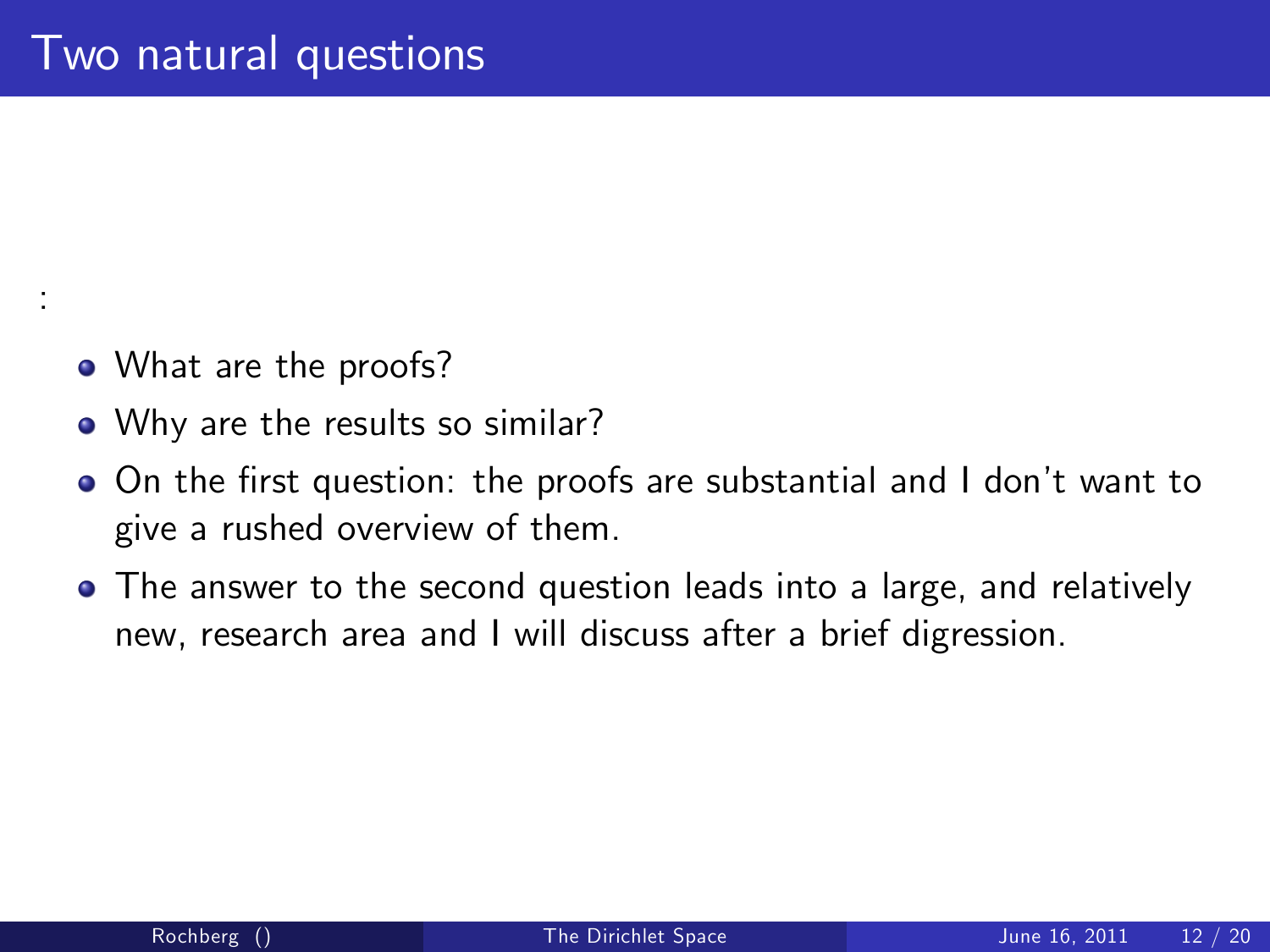• What are the proofs?

:

- Why are the results so similar?
- On the first question: the proofs are substantial and I don't want to give a rushed overview of them.
- The answer to the second question leads into a large, and relatively new, research area and I will discuss after a brief digression.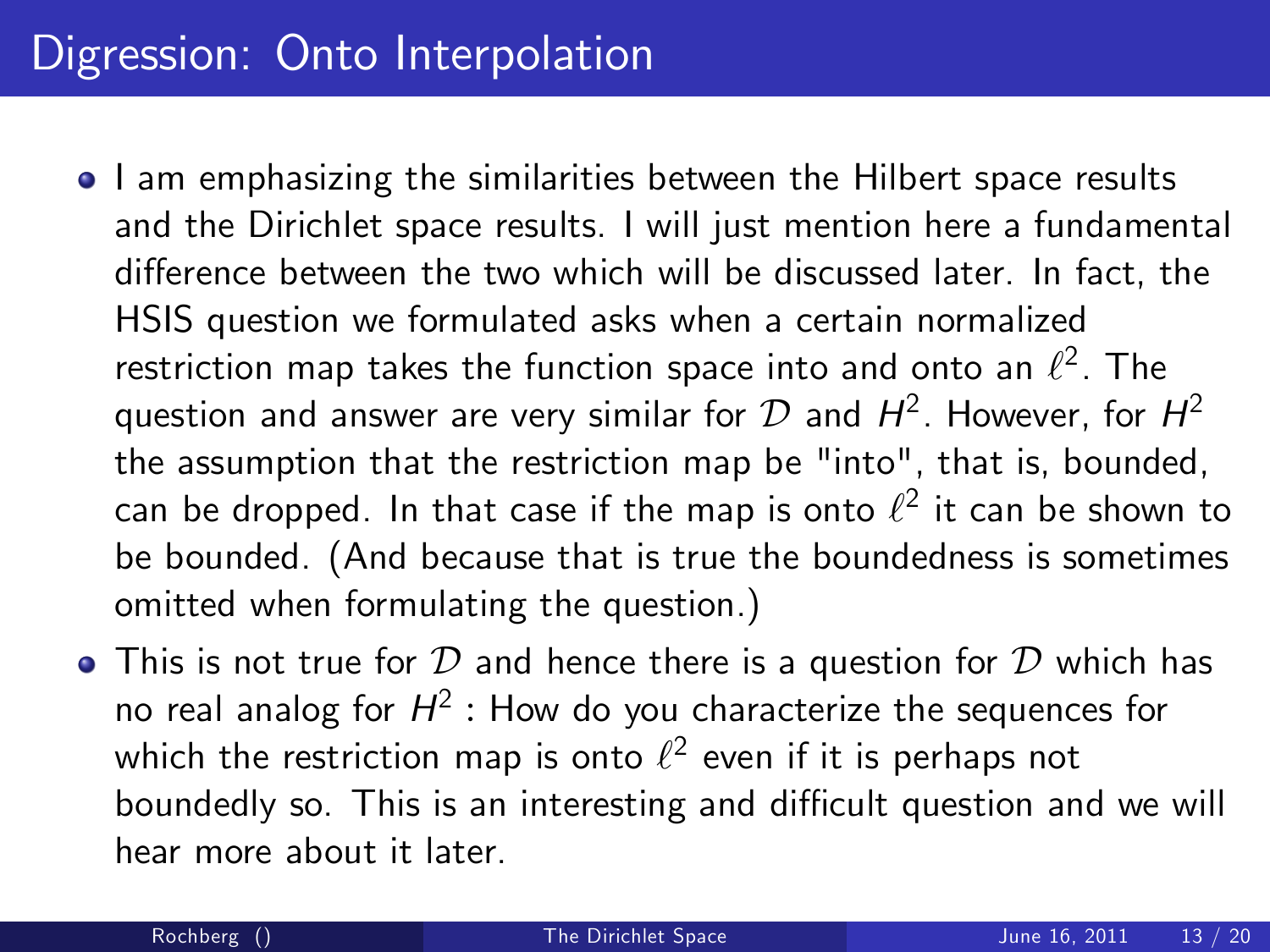### Digression: Onto Interpolation

- $\bullet$  I am emphasizing the similarities between the Hilbert space results and the Dirichlet space results. I will just mention here a fundamental difference between the two which will be discussed later. In fact, the HSIS question we formulated asks when a certain normalized restriction map takes the function space into and onto an  $\ell^2.$  The question and answer are very similar for  ${\cal D}$  and  $H^2$ . However, for  $H^2$ the assumption that the restriction map be "into", that is, bounded, can be dropped. In that case if the map is onto  $\ell^2$  it can be shown to be bounded. (And because that is true the boundedness is sometimes omitted when formulating the question.)
- $\bullet$  This is not true for  ${\cal D}$  and hence there is a question for  ${\cal D}$  which has no real analog for  $H^2$  : How do you characterize the sequences for which the restriction map is onto  $\ell^2$  even if it is perhaps not boundedly so. This is an interesting and difficult question and we will hear more about it later.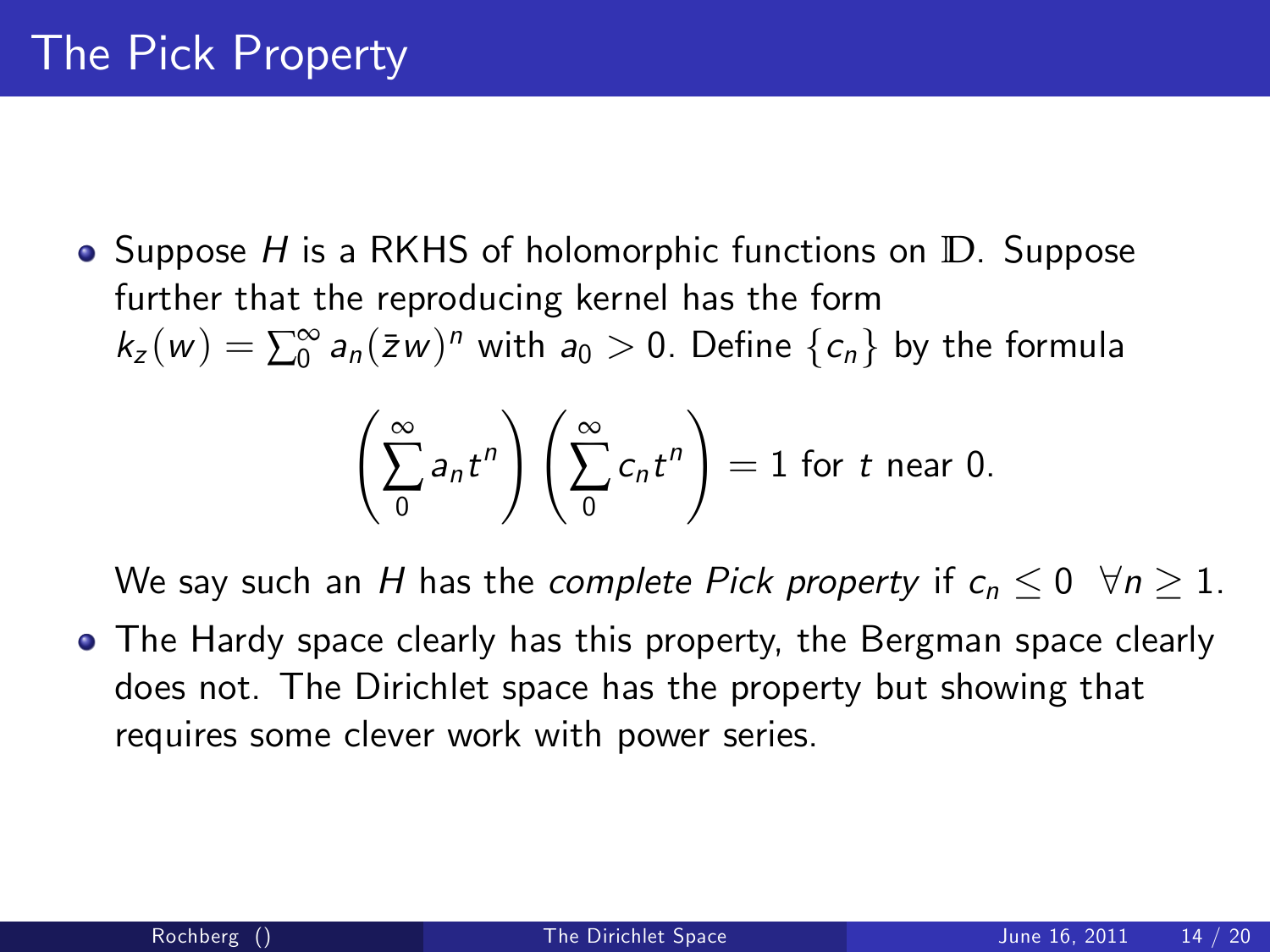Suppose H is a RKHS of holomorphic functions on **D**. Suppose further that the reproducing kernel has the form  $k_z(w) = \sum_{0}^{\infty} a_n(\bar{z}w)^n$  with  $a_0 > 0$ . Define  $\{c_n\}$  by the formula

$$
\left(\sum_{0}^{\infty} a_{n} t^{n}\right)\left(\sum_{0}^{\infty} c_{n} t^{n}\right) = 1 \text{ for } t \text{ near } 0.
$$

We say such an H has the complete Pick property if  $c_n \leq 0 \ \ \forall n \geq 1$ .

The Hardy space clearly has this property, the Bergman space clearly does not. The Dirichlet space has the property but showing that requires some clever work with power series.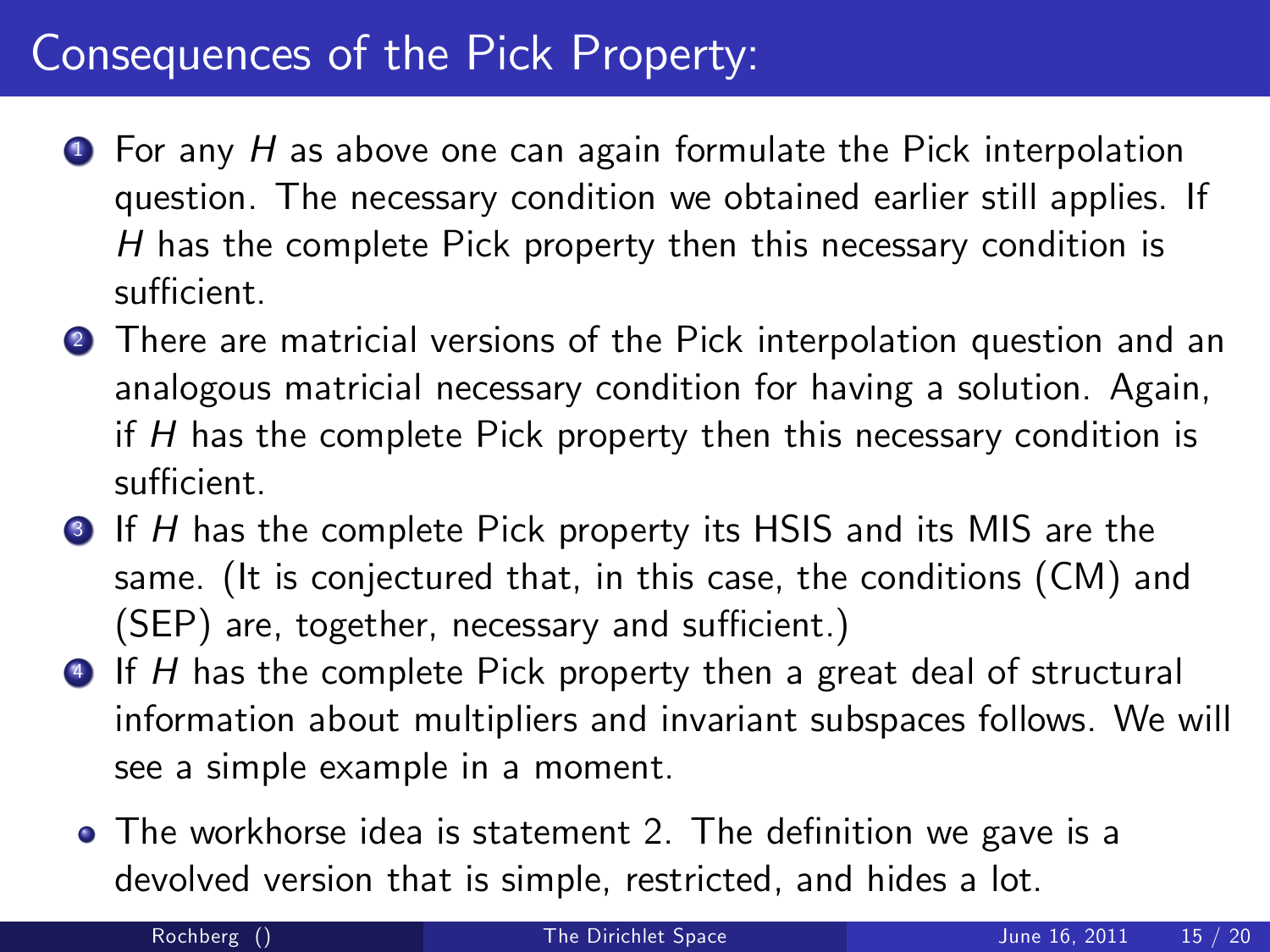### Consequences of the Pick Property:

- $\bullet$  For any H as above one can again formulate the Pick interpolation question. The necessary condition we obtained earlier still applies. If H has the complete Pick property then this necessary condition is sufficient.
- <sup>2</sup> There are matricial versions of the Pick interpolation question and an analogous matricial necessary condition for having a solution. Again, if  $H$  has the complete Pick property then this necessary condition is sufficient
- **3** If H has the complete Pick property its HSIS and its MIS are the same. (It is conjectured that, in this case, the conditions [\(CM\)](#page-6-0) and  $(SEP)$  are, together, necessary and sufficient.)
- **4** If H has the complete Pick property then a great deal of structural information about multipliers and invariant subspaces follows. We will see a simple example in a moment.
	- The workhorse idea is statement 2. The definition we gave is a devolved version that is simple, restricted, and hides a lot.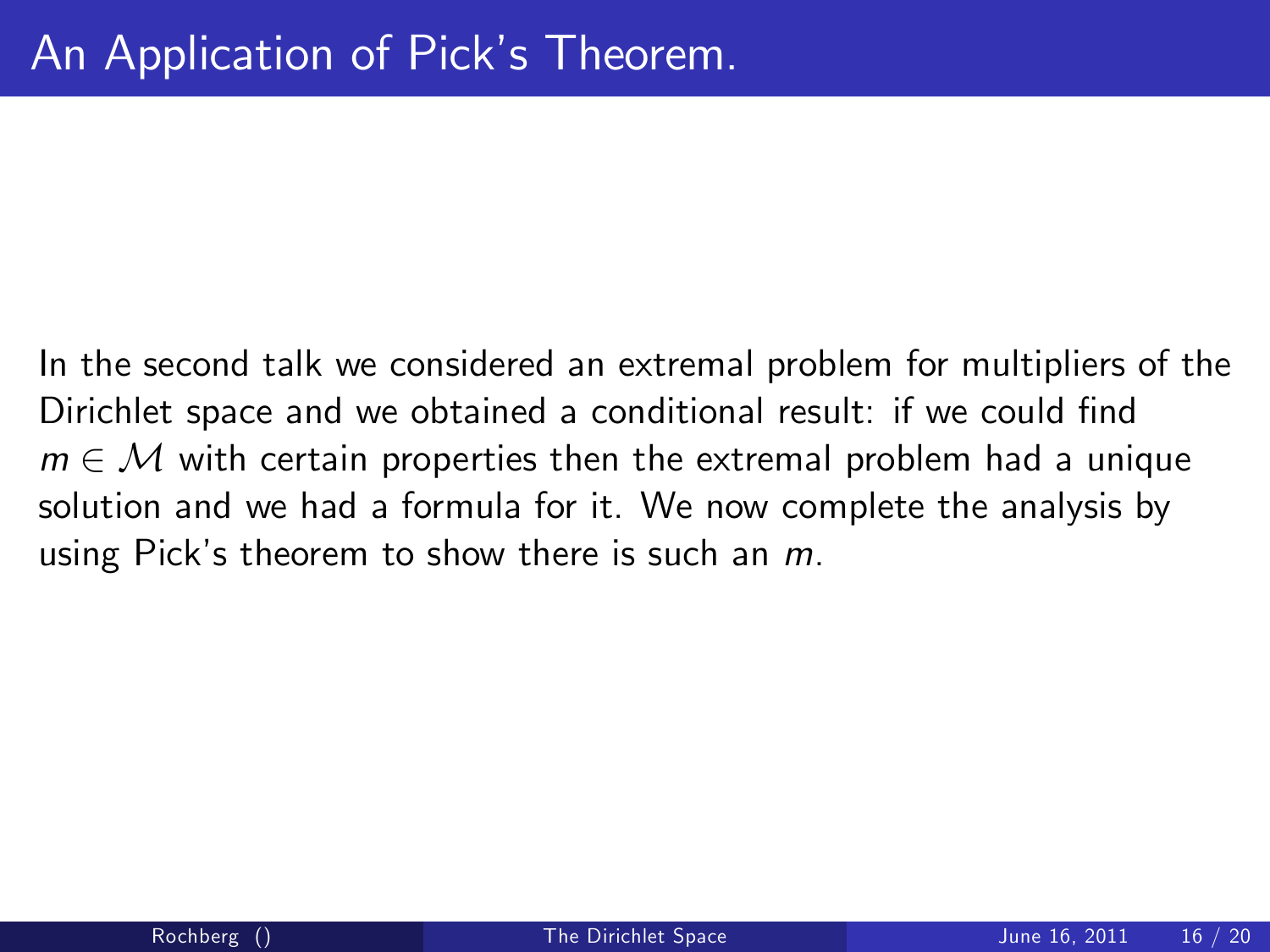In the second talk we considered an extremal problem for multipliers of the Dirichlet space and we obtained a conditional result: if we could find  $m \in \mathcal{M}$  with certain properties then the extremal problem had a unique solution and we had a formula for it. We now complete the analysis by using Pick's theorem to show there is such an  $m$ .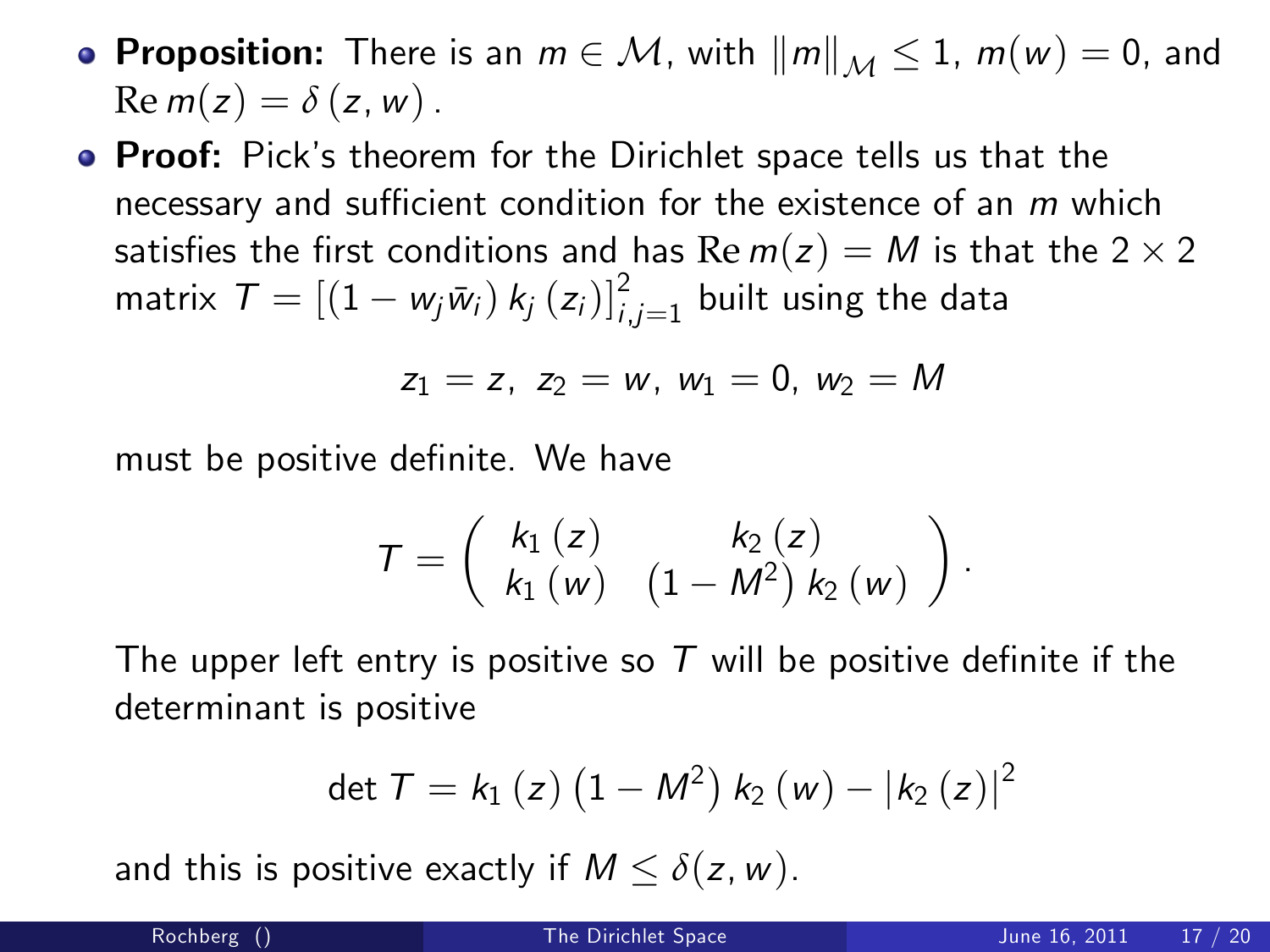- **Proposition:** There is an  $m \in \mathcal{M}$ , with  $||m||_{\mathcal{M}} \leq 1$ ,  $m(w) = 0$ , and  $\text{Re } m(z) = \delta(z, w)$ .
- **Proof:** Pick's theorem for the Dirichlet space tells us that the necessary and sufficient condition for the existence of an  $m$  which satisfies the first conditions and has  $\text{Re } m(z) = M$  is that the 2  $\times$  2 matrix  $\mathcal{T} = \left[(1 - w_j\bar{w}_i)\,k_j\left(z_i\right)\right]_{i,j=1}^2$  built using the data

$$
z_1 = z, \ z_2 = w, \ w_1 = 0, \ w_2 = M
$$

must be positive definite. We have

$$
T=\left(\begin{array}{cc}k_{1}\left(z\right)&k_{2}\left(z\right)&\\k_{1}\left(w\right)&\left(1-M^{2}\right)k_{2}\left(w\right)\end{array}\right).
$$

The upper left entry is positive so  $T$  will be positive definite if the determinant is positive

$$
\det T = k_1(z) (1 - M^2) k_2(w) - |k_2(z)|^2
$$

and this is positive exactly if  $M \le \delta(z, w)$ .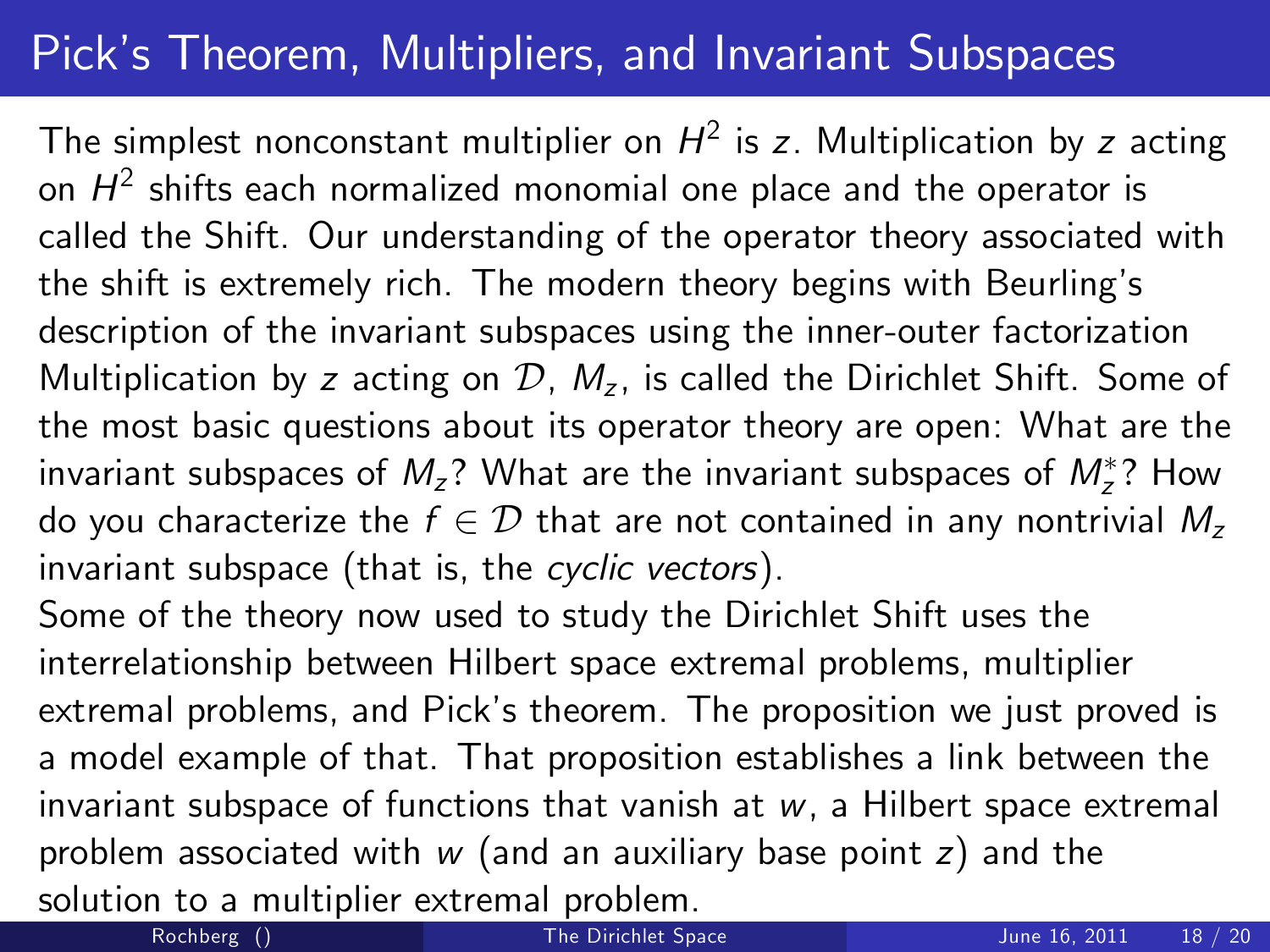# Pick's Theorem, Multipliers, and Invariant Subspaces

The simplest nonconstant multiplier on  $H^2$  is  $\boldsymbol{z}$ . Multiplication by  $\boldsymbol{z}$  acting on  $\mathcal{H}^2$  shifts each normalized monomial one place and the operator is called the Shift. Our understanding of the operator theory associated with the shift is extremely rich. The modern theory begins with Beurling's description of the invariant subspaces using the inner-outer factorization Multiplication by z acting on  $\mathcal{D}$ ,  $M_z$ , is called the Dirichlet Shift. Some of the most basic questions about its operator theory are open: What are the invariant subspaces of  $M_z$ ? What are the invariant subspaces of  $M_z^*$ ? How do you characterize the  $f \in \mathcal{D}$  that are not contained in any nontrivial  $M_z$ invariant subspace (that is, the cyclic vectors).

Some of the theory now used to study the Dirichlet Shift uses the interrelationship between Hilbert space extremal problems, multiplier extremal problems, and Pick's theorem. The proposition we just proved is a model example of that. That proposition establishes a link between the invariant subspace of functions that vanish at  $w$ , a Hilbert space extremal problem associated with  $w$  (and an auxiliary base point  $z$ ) and the solution to a multiplier extremal problem.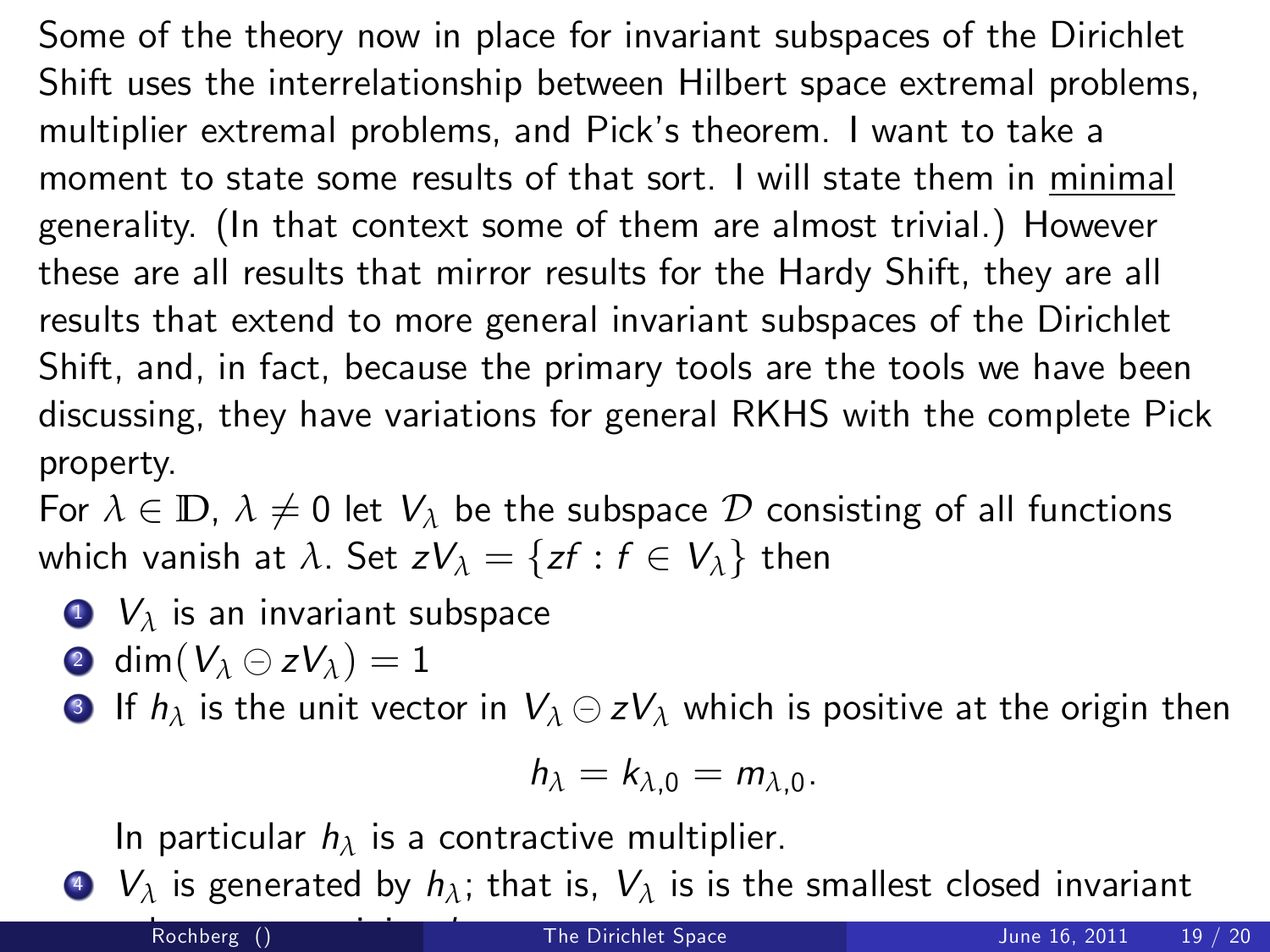Some of the theory now in place for invariant subspaces of the Dirichlet Shift uses the interrelationship between Hilbert space extremal problems, multiplier extremal problems, and Pick's theorem. I want to take a moment to state some results of that sort. I will state them in minimal generality. (In that context some of them are almost trivial.) However these are all results that mirror results for the Hardy Shift, they are all results that extend to more general invariant subspaces of the Dirichlet Shift, and, in fact, because the primary tools are the tools we have been discussing, they have variations for general RKHS with the complete Pick property.

For  $\lambda \in \mathbb{D}$ ,  $\lambda \neq 0$  let  $V_{\lambda}$  be the subspace D consisting of all functions which vanish at  $\lambda$ . Set  $zV_{\lambda} = \{zf : f \in V_{\lambda}\}\)$  then

- <sup>1</sup> V*<sup>λ</sup>* is an invariant subspace
- 2 dim $(V_\lambda \ominus zV_\lambda) = 1$
- **3** If  $h_{\lambda}$  is the unit vector in  $V_{\lambda} \ominus zV_{\lambda}$  which is positive at the origin then

$$
h_{\lambda}=k_{\lambda,0}=m_{\lambda,0}.
$$

In particular h*<sup>λ</sup>* is a contractive multiplier.

 $\bullet$   $V_{\lambda}$  is generated by  $h_{\lambda}$ ; that is,  $V_{\lambda}$  is is the smallest closed invariant

Rochberg ()